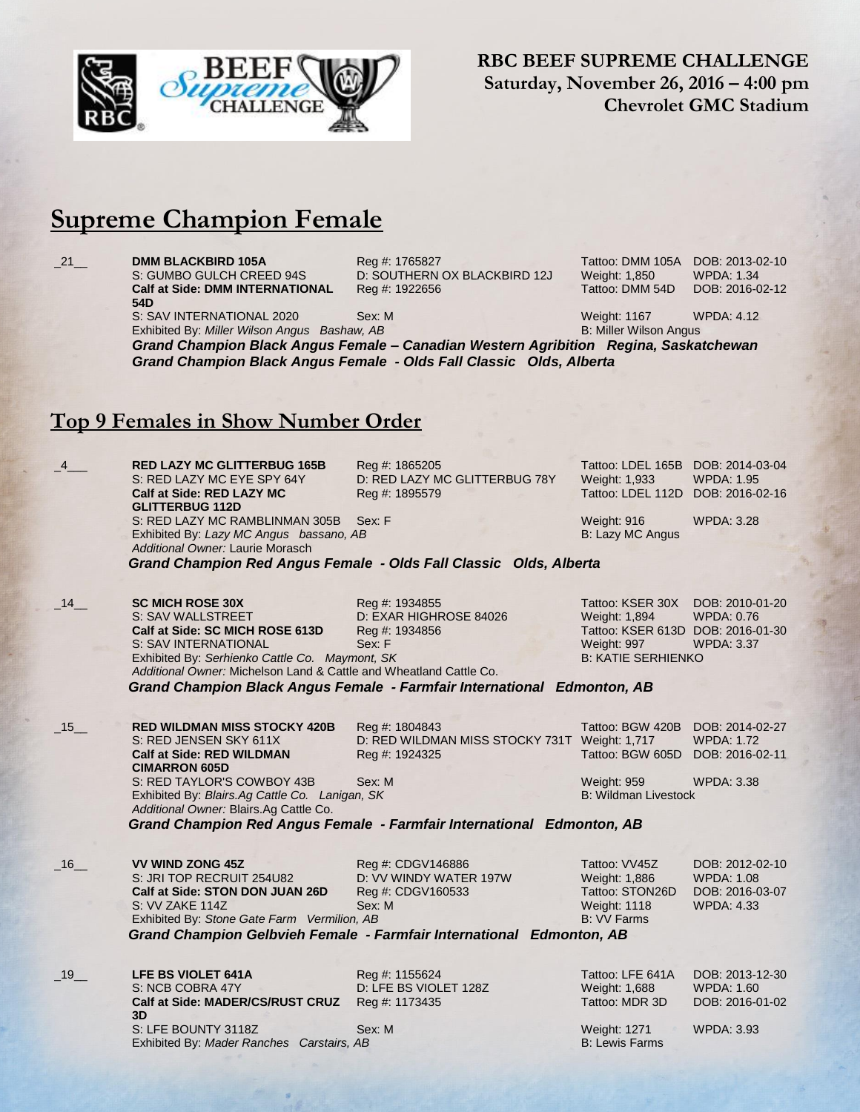

**RBC BEEF SUPREME CHALLENGE Saturday, November 26, 2016 – 4:00 pm Chevrolet GMC Stadium**

## **Supreme Champion Female**

**DMM BLACKBIRD 105A** Reg #: 1765827 Tattoo: DMM 105A DOB: 2013-02-10 S: GUMBO GULCH CREED 94S D: SOUTHERN OX BLACKBIRD 12J Weight: 1,850 WPDA: 1.34 **Calf at Side: DMM INTERNATIONAL 54D**

Reg #: 1922656 Tattoo: DMM 54D DOB: 2016-02-12

S: SAV INTERNATIONAL 2020 Sex: M Weight: 1167 WPDA: 4.12 Exhibited By: *Miller Wilson Angus Bashaw, AB* B: Miller Wilson Angus

*Grand Champion Black Angus Female – Canadian Western Agribition Regina, Saskatchewan Grand Champion Black Angus Female - Olds Fall Classic Olds, Alberta*

## **Top 9 Females in Show Number Order**

\_4\_\_\_ **RED LAZY MC GLITTERBUG 165B** Reg #: 1865205 Tattoo: LDEL 165B DOB: 2014-03-04 D: RED LAZY MC GLITTERBUG 78Y Weight: 1,933 **Calf at Side: RED LAZY MC GLITTERBUG 112D** Reg #: 1895579 Tattoo: LDEL 112D DOB: 2016-02-16 S: RED LAZY MC RAMBLINMAN 305B Sex: F Weight: 916 WPDA: 3.28 Exhibited By: *Lazy MC Angus bassano, AB* B: Lazy MC Angus *Additional Owner:* Laurie Morasch  *Grand Champion Red Angus Female - Olds Fall Classic Olds, Alberta* \_14\_\_ **SC MICH ROSE 30X** Reg #: 1934855 Tattoo: KSER 30X DOB: 2010-01-20 D: EXAR HIGHROSE 84026 Weight: 1,894 **Calf at Side: SC MICH ROSE 613D** Reg #: 1934856 Tattoo: KSER 613D DOB: 2016-01-30 S: SAV INTERNATIONAL Sex: F Weight: 997 WPDA: 3.37 Exhibited By: *Serhienko Cattle Co. Maymont, SK* B: KATIE SERHIENKO *Additional Owner:* Michelson Land & Cattle and Wheatland Cattle Co.  *Grand Champion Black Angus Female - Farmfair International Edmonton, AB* \_15\_\_ **RED WILDMAN MISS STOCKY 420B** Reg #: 1804843 Tattoo: BGW 420B DOB: 2014-02-27 D: RED WILDMAN MISS STOCKY 731T Weight: 1,717 WPDA: 1.72 **Calf at Side: RED WILDMAN CIMARRON 605D** Reg #: 1924325 Tattoo: BGW 605D DOB: 2016-02-11 S: RED TAYLOR'S COWBOY 43B Sex: M Weight: 959 WPDA: 3.38 Exhibited By: *Blairs.Ag Cattle Co. Lanigan, SK* B: Wildman Livestock *Additional Owner:* Blairs.Ag Cattle Co.  *Grand Champion Red Angus Female - Farmfair International Edmonton, AB* \_16\_\_ **VV WIND ZONG 45Z** Reg #: CDGV146886 Tattoo: VV45Z DOB: 2012-02-10 S: JRI TOP RECRUIT 254U82 D: VV WINDY WATER 197W Weight: 1,886 WPDA: 1.08 **Calf at Side: STON DON JUAN 26D** Reg #: CDGV160533 Tattoo: STON26D DOB: 2016-03-07<br>S: VV ZAKE 114Z Sex: M Sex: M Weight: 1118 WPDA: 4.33 S: VV ZAKE 114Z Sex: M<br>
Exhibited By: Stone Gate Farm Vermilion, AB B: VV Farms B: VV Farms Exhibited By: Stone Gate Farm Vermilion, AB  *Grand Champion Gelbvieh Female - Farmfair International Edmonton, AB* \_19\_\_ **LFE BS VIOLET 641A** Reg #: 1155624 Tattoo: LFE 641A DOB: 2013-12-30 S: NCB COBRA 47Y D: LFE BS VIOLET 128Z Weight: 1,688 WPDA: 1.60 **Calf at Side: MADER/CS/RUST CRUZ 3D** Reg #: 1173435 Tattoo: MDR 3D DOB: 2016-01-02 S: LFE BOUNTY 3118Z Sex: M Weight: 1271 WPDA: 3.93 Exhibited By: *Mader Ranches Carstairs, AB* B: Lewis Farms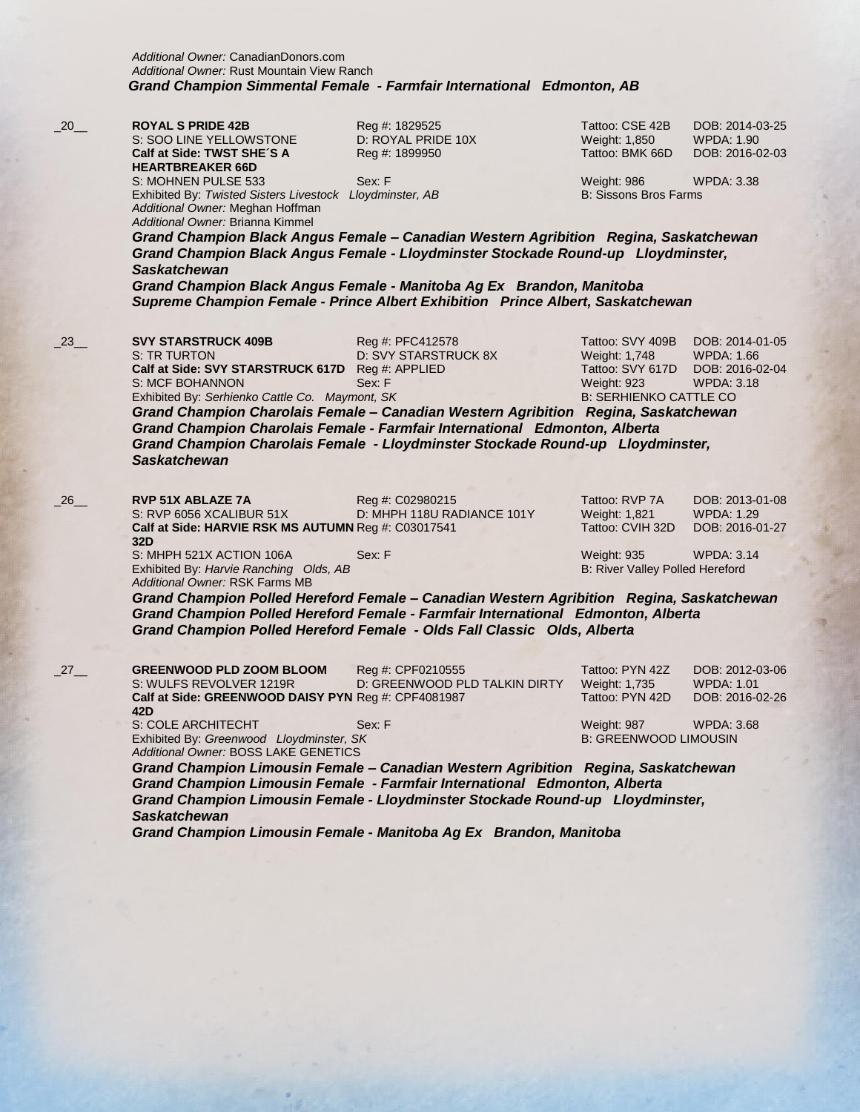*Additional Owner:* CanadianDonors.com *Additional Owner:* Rust Mountain View Ranch  *Grand Champion Simmental Female - Farmfair International Edmonton, AB*

\_20\_\_ **ROYAL S PRIDE 42B** Reg #: 1829525 Tattoo: CSE 42B DOB: 2014-03-25 S: SOO LINE YELLOWSTONE D: ROYAL PRIDE 10X Weight: 1,850 WPDA: 1.90 **Calf at Side: TWST SHE´S A HEARTBREAKER 66D** S: MOHNEN PULSE 533 Sex: F Weight: 986 WPDA: 3.38 Exhibited By: *Twisted Sisters Livestock Lloydminster, AB* B: Sissons Bros Farms *Additional Owner:* Meghan Hoffman

*Additional Owner:* Brianna Kimmel

Reg #: 1899950 Tattoo: BMK 66D DOB: 2016-02-03

*Grand Champion Black Angus Female – Canadian Western Agribition Regina, Saskatchewan Grand Champion Black Angus Female - Lloydminster Stockade Round-up Lloydminster, Saskatchewan*

*Grand Champion Black Angus Female - Manitoba Ag Ex Brandon, Manitoba Supreme Champion Female - Prince Albert Exhibition Prince Albert, Saskatchewan*

\_23\_\_ **SVY STARSTRUCK 409B** Reg #: PFC412578 Tattoo: SVY 409B DOB: 2014-01-05 S: TR TURTON D: SVY STARSTRUCK 8X Weight: 1,748 WPDA: 1.66 **Calf at Side: SVY STARSTRUCK 617D** Reg #: APPLIED Tattoo: SVY 617D DOB: 2016-02-04 S: MCF BOHANNON Sex: F Weight: 923 WPDA: 3.18 Exhibited By: *Serhienko Cattle Co. Maymont, SK* B: SERHIENKO CATTLE CO

*Grand Champion Charolais Female – Canadian Western Agribition Regina, Saskatchewan Grand Champion Charolais Female - Farmfair International Edmonton, Alberta Grand Champion Charolais Female - Lloydminster Stockade Round-up Lloydminster, Saskatchewan*

**RVP 51X ABLAZE 7A** Reg #: C02980215 Tattoo: RVP 7A DOB: 2013-01-08<br>S: RVP 6056 XCALIBUR 51X D: MHPH 118U RADIANCE 101Y Weight: 1,821 WPDA: 1.29 S: RVP 6056 XCALIBUR 51X D: MHPH 118U RADIANCE 101Y Weight: 1,821 WPDA: 1.29<br>
Calf at Side: HARVIE RSK MS AUTUMN Reg #: C03017541 Tattoo: CVIH 32D DOB: 2016-01-27 **Calf at Side: HARVIE RSK MS AUTUMN** Reg #: C03017541 Tattoo: CVIH 32D DOB: 2016-01-27 **32D** S: MHPH 521X ACTION 106A Sex: F Weight: 935 WPDA: 3.14

Exhibited By: *Harvie Ranching Olds, AB* B: River Valley Polled Hereford *Additional Owner:* RSK Farms MB

*Grand Champion Polled Hereford Female – Canadian Western Agribition Regina, Saskatchewan Grand Champion Polled Hereford Female - Farmfair International Edmonton, Alberta Grand Champion Polled Hereford Female - Olds Fall Classic Olds, Alberta*

\_27\_\_ **GREENWOOD PLD ZOOM BLOOM** Reg #: CPF0210555 Tattoo: PYN 42Z DOB: 2012-03-06 S: WULFS REVOLVER 1219R D: GREENWOOD PLD TALKIN DIRTY Weight: 1,735 WPDA: 1.01 Calf at Side: GREENWOOD DAISY PYN Reg #: CPF4081987 Tattoo: PYN 42D DOB: 2016-02-26 **42D** S: COLE ARCHITECHT Sex: F Weight: 987 WPDA: 3.68 Exhibited By: *Greenwood Lloydminster, SK* B: GREENWOOD LIMOUSIN *Additional Owner:* BOSS LAKE GENETICS *Grand Champion Limousin Female – Canadian Western Agribition Regina, Saskatchewan Grand Champion Limousin Female - Farmfair International Edmonton, Alberta Grand Champion Limousin Female - Lloydminster Stockade Round-up Lloydminster,* 

*Saskatchewan*

*Grand Champion Limousin Female - Manitoba Ag Ex Brandon, Manitoba*